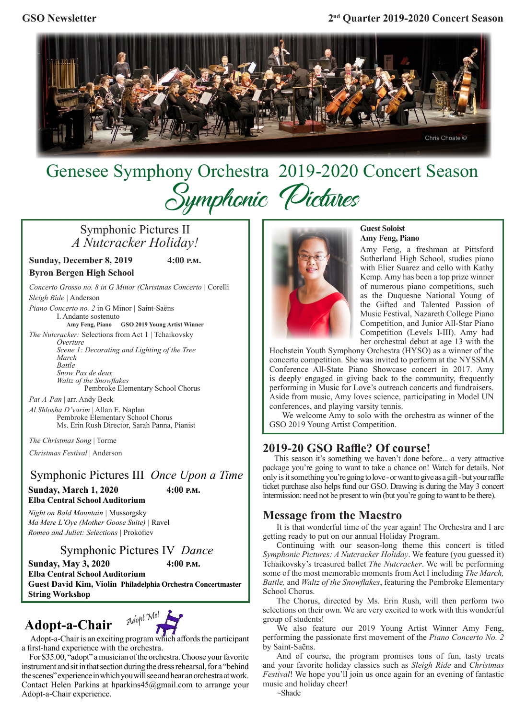

# Genesee Symphony Orchestra2019-2020 Concert Season Symphonic Pictures

# Symphonic Pictures II *A Nutcracker Holiday!*

**Sunday, December 8, 2019 4:00 p.m.**

**Byron Bergen High School**

*Concerto Grosso no. 8 in G Minor (Christmas Concerto |* Corelli *Sleigh Ride |* Anderson

*Piano Concerto no. 2* in G Minor *|* Saint-Saëns I. Andante sostenuto

**Amy Feng, Piano GSO 2019 Young Artist Winner** *The Nutcracker:* Selections from Act 1 *|* Tchaikovsky

> *Overture Scene 1: Decorating and Lighting of the Tree March Battle Snow Pas de deux*

*Waltz of the Snowflakes* Pembroke Elementary School Chorus

*Pat-A-Pan* | arr. Andy Beck *Al Shlosha D'varim* | Allan E. Naplan Pembroke Elementary School Chorus Ms. Erin Rush Director, Sarah Panna, Pianist

*The Christmas Song* | Torme

*Christmas Festival* | Anderson

Symphonic Pictures III *Once Upon a Time* **Sunday, March 1, 2020 4:00 p.m.**

**Elba Central School Auditorium**

*Night on Bald Mountain |* Mussorgsky *Ma Mere L'Oye (Mother Goose Suite) |* Ravel *Romeo and Juliet: Selections |* Prokofiev

Symphonic Pictures IV *Dance*

**Sunday, May 3, 2020 4:00 p.m.**

**Elba Central School Auditorium Guest David Kim, Violin Philadelphia Orchestra Concertmaster String Workshop**

# Adopt-a-Chair <sup>Adopt Me!</sup>



 Adopt-a-Chair is an exciting program which affords the participant a first-hand experience with the orchestra.

 For \$35.00, "adopt" a musician of the orchestra. Choose your favorite instrument and sit in that section during the dress rehearsal, for a "behind the scenes" experience in which you will see and hear an orchestra at work. Contact Helen Parkins at hparkins45@gmail.com to arrange your Adopt-a-Chair experience.



#### **Guest Soloist Amy Feng, Piano**

 Amy Feng, a freshman at Pittsford Sutherland High School, studies piano with Elier Suarez and cello with Kathy Kemp. Amy has been a top prize winner of numerous piano competitions, such as the Duquesne National Young of the Gifted and Talented Passion of Music Festival, Nazareth College Piano Competition, and Junior All-Star Piano Competition (Levels I-III). Amy had her orchestral debut at age 13 with the

Hochstein Youth Symphony Orchestra (HYSO) as a winner of the concerto competition. She was invited to perform at the NYSSMA Conference All-State Piano Showcase concert in 2017. Amy is deeply engaged in giving back to the community, frequently performing in Music for Love's outreach concerts and fundraisers. Aside from music, Amy loves science, participating in Model UN conferences, and playing varsity tennis.

 We welcome Amy to solo with the orchestra as winner of the GSO 2019 Young Artist Competition.

## **2019-20 GSO Raffle? Of course!**

 This season it's something we haven't done before... a very attractive package you're going to want to take a chance on! Watch for details. Not only is it something you're going to love - or want to give as a gift - but your raffle ticket purchase also helps fund our GSO. Drawing is during the May 3 concert intermission: need not be present to win (but you're going to want to be there).

### **Message from the Maestro**

It is that wonderful time of the year again! The Orchestra and I are getting ready to put on our annual Holiday Program.

Continuing with our season-long theme this concert is titled *Symphonic Pictures: A Nutcracker Holiday*. We feature (you guessed it) Tchaikovsky's treasured ballet *The Nutcracker*. We will be performing some of the most memorable moments from Act I including *The March, Battle,* and *Waltz of the Snowflakes*, featuring the Pembroke Elementary School Chorus.

The Chorus, directed by Ms. Erin Rush, will then perform two selections on their own. We are very excited to work with this wonderful group of students!

We also feature our 2019 Young Artist Winner Amy Feng, performing the passionate first movement of the *Piano Concerto No. 2* by Saint-Saëns.

And of course, the program promises tons of fun, tasty treats and your favorite holiday classics such as *Sleigh Ride* and *Christmas Festival*! We hope you'll join us once again for an evening of fantastic music and holiday cheer!

~Shade